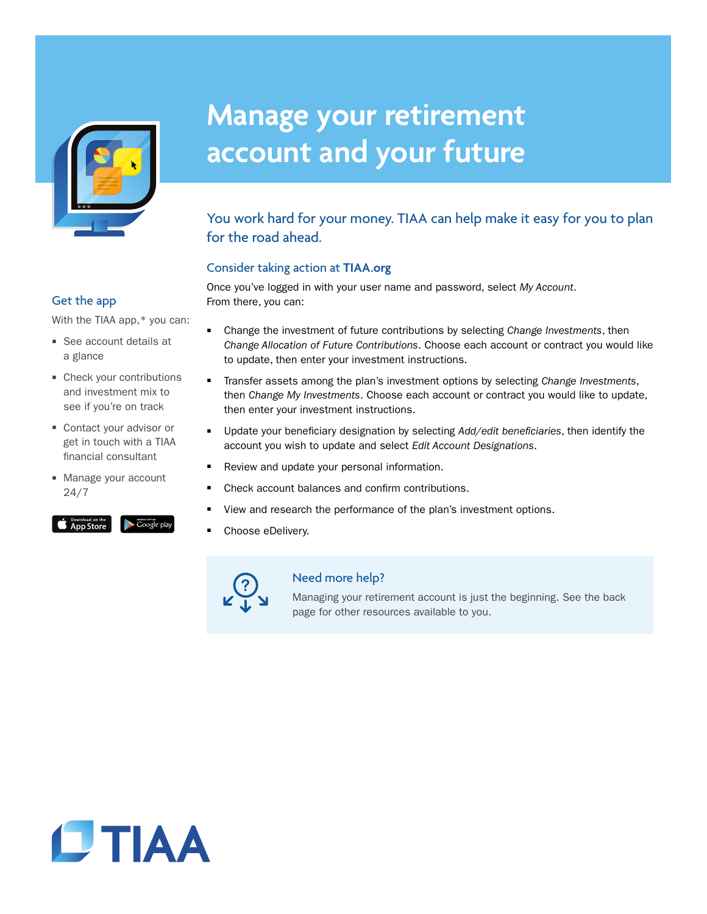

# **Manage your retirement account and your future**

## You work hard for your money. TIAA can help make it easy for you to plan for the road ahead.

#### Consider taking action at **TIAA.org**

Once you've logged in with your user name and password, select *My Account*. From there, you can:

### Get the app

With the TIAA app,\* you can:

- See account details at a glance
- Check your contributions and investment mix to see if you're on track
- Contact your advisor or get in touch with a TIAA financial consultant
- Manage your account 24/7

#### $\bullet$  App Store

- **EXED** Change the investment of future contributions by selecting *Change Investments*, then *Change Allocation of Future Contributions*. Choose each account or contract you would like to update, then enter your investment instructions.
- Transfer assets among the plan's investment options by selecting *Change Investments*, then *Change My Investments*. Choose each account or contract you would like to update, then enter your investment instructions.
- W Update your beneficiary designation by selecting *Add/edit beneficiaries*, then identify the account you wish to update and select *Edit Account Designations*.
- Review and update your personal information.
- Check account balances and confirm contributions.
- View and research the performance of the plan's investment options.
- Choose eDelivery.



#### Need more help?

Managing your retirement account is just the beginning. See the back page for other resources available to you.